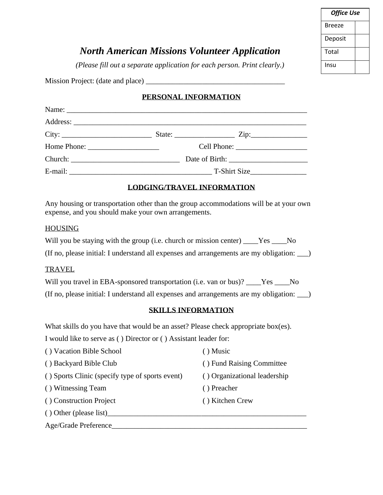| <b>Office Use</b> |  |  |
|-------------------|--|--|
| Breeze            |  |  |
| Deposit           |  |  |
| Total             |  |  |
| Insu              |  |  |

# *North American Missions Volunteer Application*

*(Please fill out a separate application for each person. Print clearly.)*

Mission Project: (date and place) \_\_\_\_\_\_\_\_\_\_\_\_\_\_\_\_\_\_\_\_\_\_\_\_\_\_\_\_\_\_\_\_\_\_\_\_\_

## **PERSONAL INFORMATION**

| Home Phone: $\frac{1}{\sqrt{1-\frac{1}{2}}}\left\{1-\frac{1}{2}\right\}$ |  |  |
|--------------------------------------------------------------------------|--|--|
|                                                                          |  |  |
|                                                                          |  |  |

## **LODGING/TRAVEL INFORMATION**

Any housing or transportation other than the group accommodations will be at your own expense, and you should make your own arrangements.

#### HOUSING

| Will you be staying with the group (i.e. church or mission center) _____Yes           |  |
|---------------------------------------------------------------------------------------|--|
| (If no, please initial: I understand all expenses and arrangements are my obligation: |  |

#### TRAVEL

| Will you travel in EBA-sponsored transportation (i.e. van or bus)? ____Yes ____No         |  |
|-------------------------------------------------------------------------------------------|--|
| (If no, please initial: I understand all expenses and arrangements are my obligation: __) |  |

## **SKILLS INFORMATION**

What skills do you have that would be an asset? Please check appropriate box(es).

I would like to serve as ( ) Director or ( ) Assistant leader for:

- ( ) Vacation Bible School ( ) Music
- 
- ( ) Sports Clinic (specify type of sports event) ( ) Organizational leadership
- ( ) Witnessing Team ( ) Preacher
- ( ) Construction Project ( ) Kitchen Crew
- ( ) Other (please list)\_\_\_\_\_\_\_\_\_\_\_\_\_\_\_\_\_\_\_\_\_\_\_\_\_\_\_\_\_\_\_\_\_\_\_\_\_\_\_\_\_\_\_\_\_\_\_\_\_\_\_\_\_

Age/Grade Preference\_\_\_\_\_\_\_\_\_\_\_\_\_\_\_\_\_\_\_\_\_\_\_\_\_\_\_\_\_\_\_\_\_\_\_\_\_\_\_\_\_\_\_\_\_\_\_\_\_\_\_\_

- 
- ( ) Backyard Bible Club ( ) Fund Raising Committee
	-
	-
	-